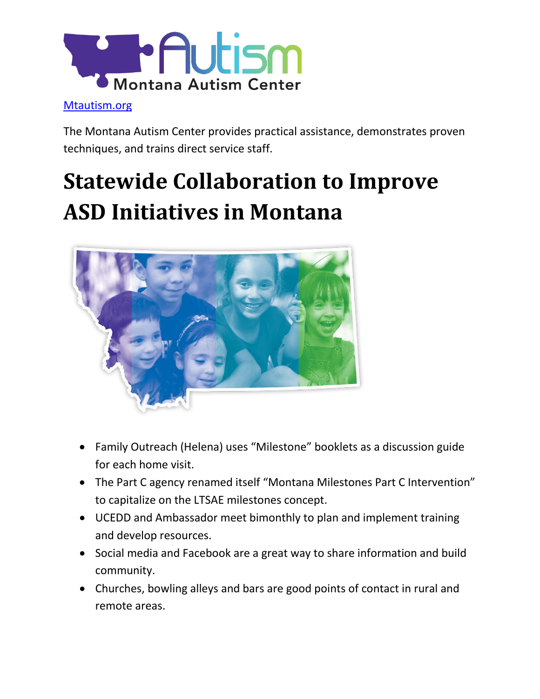

#### [Mtautism.org](http://mtautism.org/)

The Montana Autism Center provides practical assistance, demonstrates proven techniques, and trains direct service staff.

# **Statewide Collaboration to Improve ASD Initiatives in Montana**



- Family Outreach (Helena) uses "Milestone" booklets as a discussion guide for each home visit.
- The Part C agency renamed itself "Montana Milestones Part C Intervention" to capitalize on the LTSAE milestones concept.
- UCEDD and Ambassador meet bimonthly to plan and implement training and develop resources.
- Social media and Facebook are a great way to share information and build community.
- Churches, bowling alleys and bars are good points of contact in rural and remote areas.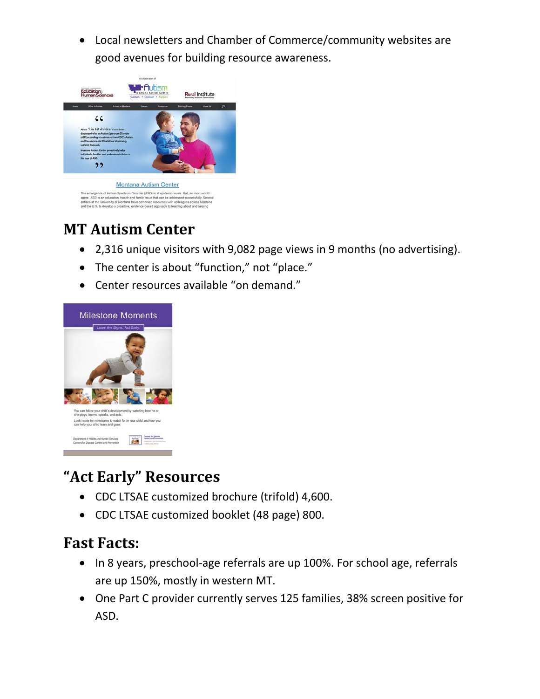• Local newsletters and Chamber of Commerce/community websites are good avenues for building resource awareness.



## **MT Autism Center**

- 2,316 unique visitors with 9,082 page views in 9 months (no advertising).
- The center is about "function," not "place."
- Center resources available "on demand."



### **"Act Early" Resources**

- CDC LTSAE customized brochure (trifold) 4,600.
- CDC LTSAE customized booklet (48 page) 800.

#### **Fast Facts:**

- In 8 years, preschool-age referrals are up 100%. For school age, referrals are up 150%, mostly in western MT.
- One Part C provider currently serves 125 families, 38% screen positive for ASD.